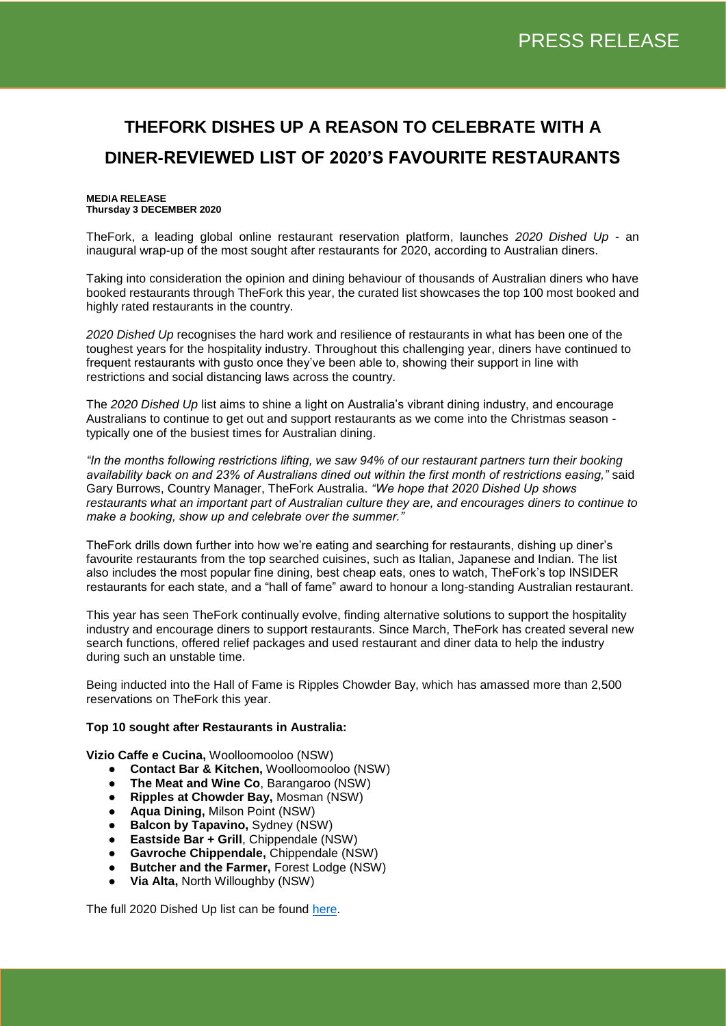# **THEFORK DISHES UP A REASON TO CELEBRATE WITH A DINER-REVIEWED LIST OF 2020'S FAVOURITE RESTAURANTS**

### **MEDIA RELEASE Thursday 3 DECEMBER 2020**

TheFork, a leading global online restaurant reservation platform, launches *2020 Dished Up -* an inaugural wrap-up of the most sought after restaurants for 2020, according to Australian diners.

Taking into consideration the opinion and dining behaviour of thousands of Australian diners who have booked restaurants through TheFork this year, the curated list showcases the top 100 most booked and highly rated restaurants in the country.

*2020 Dished Up* recognises the hard work and resilience of restaurants in what has been one of the toughest years for the hospitality industry. Throughout this challenging year, diners have continued to frequent restaurants with gusto once they've been able to, showing their support in line with restrictions and social distancing laws across the country.

The *2020 Dished Up* list aims to shine a light on Australia's vibrant dining industry, and encourage Australians to continue to get out and support restaurants as we come into the Christmas season typically one of the busiest times for Australian dining.

*"In the months following restrictions lifting, we saw 94% of our restaurant partners turn their booking availability back on and 23% of Australians dined out within the first month of restrictions easing,"* said Gary Burrows, Country Manager, TheFork Australia. *"We hope that 2020 Dished Up shows restaurants what an important part of Australian culture they are, and encourages diners to continue to make a booking, show up and celebrate over the summer."*

TheFork drills down further into how we're eating and searching for restaurants, dishing up diner's favourite restaurants from the top searched cuisines, such as Italian, Japanese and Indian. The list also includes the most popular fine dining, best cheap eats, ones to watch, TheFork's top INSIDER restaurants for each state, and a "hall of fame" award to honour a long-standing Australian restaurant.

This year has seen TheFork continually evolve, finding alternative solutions to support the hospitality industry and encourage diners to support restaurants. Since March, TheFork has created several new search functions, offered relief packages and used restaurant and diner data to help the industry during such an unstable time.

Being inducted into the Hall of Fame is Ripples Chowder Bay, which has amassed more than 2,500 reservations on TheFork this year.

## **Top 10 sought after Restaurants in Australia:**

**Vizio Caffe e Cucina,** Woolloomooloo (NSW)

- **Contact Bar & Kitchen,** Woolloomooloo (NSW)
- **The Meat and Wine Co**, Barangaroo (NSW)
- **Ripples at Chowder Bay,** Mosman (NSW)
- **Aqua Dining,** Milson Point (NSW)
- **Balcon by Tapavino, Sydney (NSW)**
- **Eastside Bar + Grill**, Chippendale (NSW)
- **Gavroche Chippendale,** Chippendale (NSW)
- **Butcher and the Farmer,** Forest Lodge (NSW)
- **Via Alta,** North Willoughby (NSW)

The full 2020 Dished Up list can be found [here.](https://blog.thefork.com/au/2020-dished-up/)